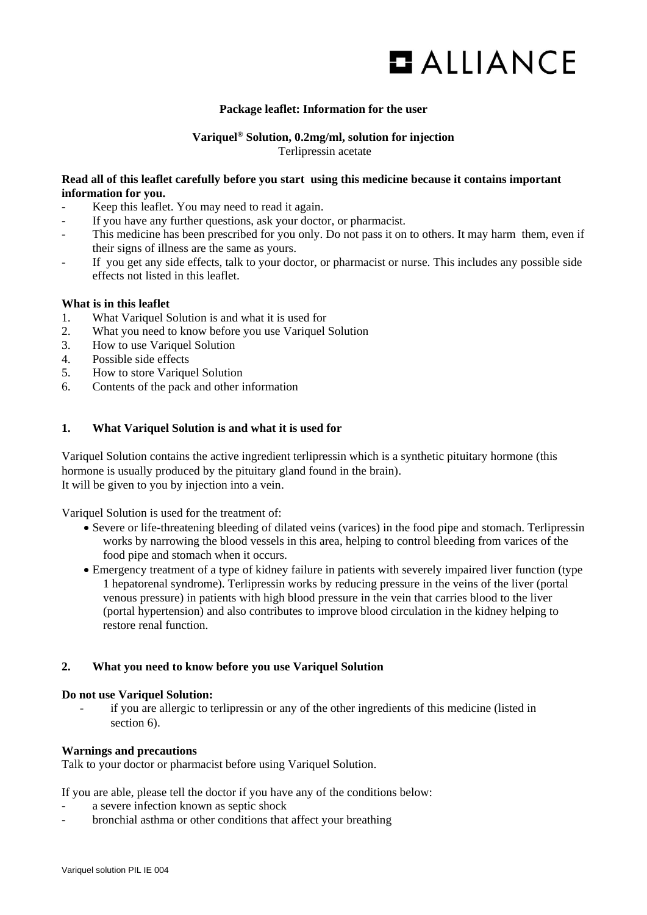

# **Package leaflet: Information for the user**

## **Variquel® Solution, 0.2mg/ml, solution for injection** Terlipressin acetate

#### **Read all of this leaflet carefully before you start using this medicine because it contains important information for you.**

- Keep this leaflet. You may need to read it again.
- If you have any further questions, ask your doctor, or pharmacist.
- This medicine has been prescribed for you only. Do not pass it on to others. It may harm them, even if their signs of illness are the same as yours.
- If you get any side effects, talk to your doctor, or pharmacist or nurse. This includes any possible side effects not listed in this leaflet.

# **What is in this leaflet**

- 1. What Variquel Solution is and what it is used for
- 2. What you need to know before you use Variquel Solution
- 3. How to use Variquel Solution
- 4. Possible side effects
- 5. How to store Variquel Solution
- 6. Contents of the pack and other information

#### **1. What Variquel Solution is and what it is used for**

Variquel Solution contains the active ingredient terlipressin which is a synthetic pituitary hormone (this hormone is usually produced by the pituitary gland found in the brain). It will be given to you by injection into a vein.

Variquel Solution is used for the treatment of:

- Severe or life-threatening bleeding of dilated veins (varices) in the food pipe and stomach. Terlipressin works by narrowing the blood vessels in this area, helping to control bleeding from varices of the food pipe and stomach when it occurs.
- Emergency treatment of a type of kidney failure in patients with severely impaired liver function (type 1 hepatorenal syndrome). Terlipressin works by reducing pressure in the veins of the liver (portal venous pressure) in patients with high blood pressure in the vein that carries blood to the liver (portal hypertension) and also contributes to improve blood circulation in the kidney helping to restore renal function.

#### **2. What you need to know before you use Variquel Solution**

#### **Do not use Variquel Solution:**

if you are allergic to terlipressin or any of the other ingredients of this medicine (listed in section 6).

#### **Warnings and precautions**

Talk to your doctor or pharmacist before using Variquel Solution.

If you are able, please tell the doctor if you have any of the conditions below:

- a severe infection known as septic shock
- bronchial asthma or other conditions that affect your breathing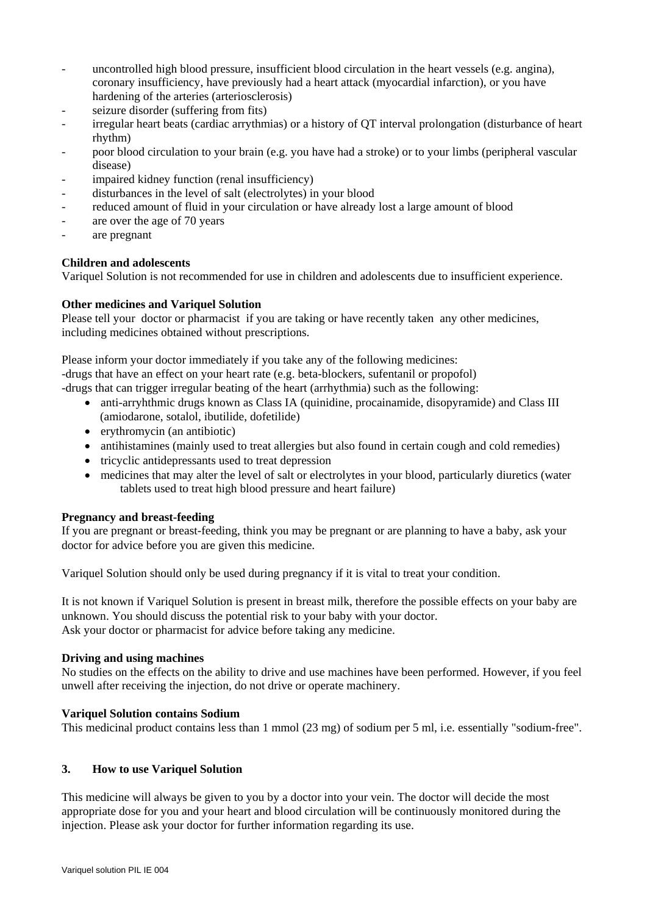- uncontrolled high blood pressure, insufficient blood circulation in the heart vessels (e.g. angina), coronary insufficiency, have previously had a heart attack (myocardial infarction), or you have hardening of the arteries (arteriosclerosis)
- seizure disorder (suffering from fits)
- irregular heart beats (cardiac arrythmias) or a history of QT interval prolongation (disturbance of heart rhythm)
- poor blood circulation to your brain (e.g. you have had a stroke) or to your limbs (peripheral vascular disease)
- impaired kidney function (renal insufficiency)
- disturbances in the level of salt (electrolytes) in your blood
- reduced amount of fluid in your circulation or have already lost a large amount of blood
- are over the age of 70 years
- are pregnant

## **Children and adolescents**

Variquel Solution is not recommended for use in children and adolescents due to insufficient experience.

## **Other medicines and Variquel Solution**

Please tell your doctor or pharmacist if you are taking or have recently taken any other medicines, including medicines obtained without prescriptions.

Please inform your doctor immediately if you take any of the following medicines: -drugs that have an effect on your heart rate (e.g. beta-blockers, sufentanil or propofol)

-drugs that can trigger irregular beating of the heart (arrhythmia) such as the following:

- anti-arryhthmic drugs known as Class IA (quinidine, procainamide, disopyramide) and Class III (amiodarone, sotalol, ibutilide, dofetilide)
- erythromycin (an antibiotic)
- antihistamines (mainly used to treat allergies but also found in certain cough and cold remedies)
- tricyclic antidepressants used to treat depression
- medicines that may alter the level of salt or electrolytes in your blood, particularly diuretics (water tablets used to treat high blood pressure and heart failure)

# **Pregnancy and breast-feeding**

If you are pregnant or breast-feeding, think you may be pregnant or are planning to have a baby, ask your doctor for advice before you are given this medicine.

Variquel Solution should only be used during pregnancy if it is vital to treat your condition.

It is not known if Variquel Solution is present in breast milk, therefore the possible effects on your baby are unknown. You should discuss the potential risk to your baby with your doctor. Ask your doctor or pharmacist for advice before taking any medicine.

## **Driving and using machines**

No studies on the effects on the ability to drive and use machines have been performed. However, if you feel unwell after receiving the injection, do not drive or operate machinery.

## **Variquel Solution contains Sodium**

This medicinal product contains less than 1 mmol (23 mg) of sodium per 5 ml, i.e. essentially "sodium-free".

# **3. How to use Variquel Solution**

This medicine will always be given to you by a doctor into your vein. The doctor will decide the most appropriate dose for you and your heart and blood circulation will be continuously monitored during the injection. Please ask your doctor for further information regarding its use.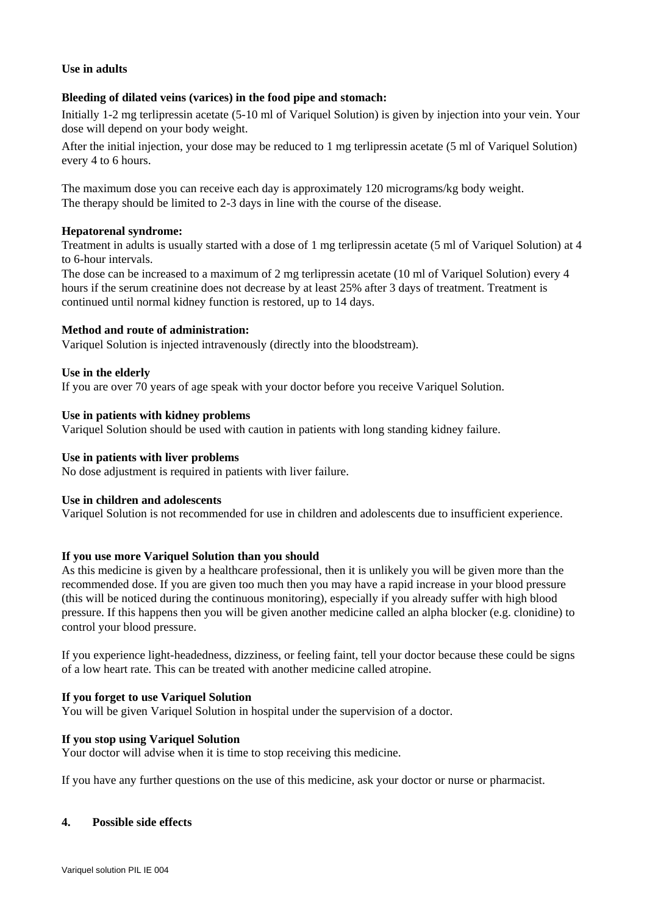# **Use in adults**

# **Bleeding of dilated veins (varices) in the food pipe and stomach:**

Initially 1-2 mg terlipressin acetate (5-10 ml of Variquel Solution) is given by injection into your vein. Your dose will depend on your body weight.

After the initial injection, your dose may be reduced to 1 mg terlipressin acetate (5 ml of Variquel Solution) every 4 to 6 hours.

The maximum dose you can receive each day is approximately 120 micrograms/kg body weight. The therapy should be limited to 2-3 days in line with the course of the disease.

## **Hepatorenal syndrome:**

Treatment in adults is usually started with a dose of 1 mg terlipressin acetate (5 ml of Variquel Solution) at 4 to 6-hour intervals.

The dose can be increased to a maximum of 2 mg terlipressin acetate (10 ml of Variquel Solution) every 4 hours if the serum creatinine does not decrease by at least 25% after 3 days of treatment. Treatment is continued until normal kidney function is restored, up to 14 days.

## **Method and route of administration:**

Variquel Solution is injected intravenously (directly into the bloodstream).

#### **Use in the elderly**

If you are over 70 years of age speak with your doctor before you receive Variquel Solution.

#### **Use in patients with kidney problems**

Variquel Solution should be used with caution in patients with long standing kidney failure.

#### **Use in patients with liver problems**

No dose adjustment is required in patients with liver failure.

#### **Use in children and adolescents**

Variquel Solution is not recommended for use in children and adolescents due to insufficient experience.

## **If you use more Variquel Solution than you should**

As this medicine is given by a healthcare professional, then it is unlikely you will be given more than the recommended dose. If you are given too much then you may have a rapid increase in your blood pressure (this will be noticed during the continuous monitoring), especially if you already suffer with high blood pressure. If this happens then you will be given another medicine called an alpha blocker (e.g. clonidine) to control your blood pressure.

If you experience light-headedness, dizziness, or feeling faint, tell your doctor because these could be signs of a low heart rate. This can be treated with another medicine called atropine.

## **If you forget to use Variquel Solution**

You will be given Variquel Solution in hospital under the supervision of a doctor.

## **If you stop using Variquel Solution**

Your doctor will advise when it is time to stop receiving this medicine.

If you have any further questions on the use of this medicine, ask your doctor or nurse or pharmacist.

## **4. Possible side effects**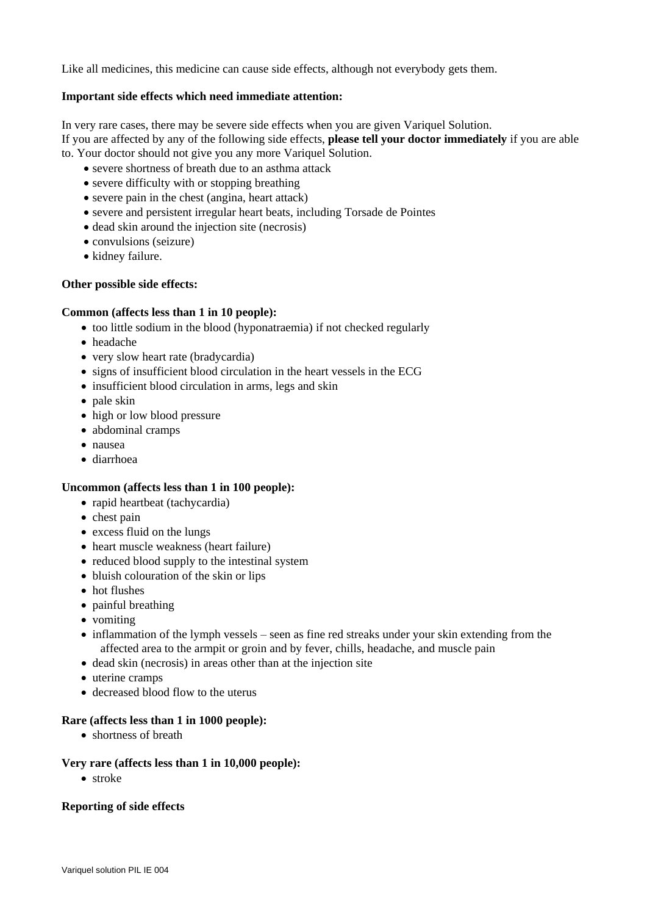Like all medicines, this medicine can cause side effects, although not everybody gets them.

# **Important side effects which need immediate attention:**

In very rare cases, there may be severe side effects when you are given Variquel Solution. If you are affected by any of the following side effects, **please tell your doctor immediately** if you are able to. Your doctor should not give you any more Variquel Solution.

- severe shortness of breath due to an asthma attack
- severe difficulty with or stopping breathing
- severe pain in the chest (angina, heart attack)
- severe and persistent irregular heart beats, including Torsade de Pointes
- dead skin around the injection site (necrosis)
- convulsions (seizure)
- kidney failure.

## **Other possible side effects:**

## **Common (affects less than 1 in 10 people):**

- too little sodium in the blood (hyponatraemia) if not checked regularly
- headache
- very slow heart rate (bradycardia)
- signs of insufficient blood circulation in the heart vessels in the ECG
- insufficient blood circulation in arms, legs and skin
- $\bullet$  pale skin
- high or low blood pressure
- abdominal cramps
- nausea
- diarrhoea

## **Uncommon (affects less than 1 in 100 people):**

- rapid heartbeat (tachycardia)
- $\bullet$  chest pain
- excess fluid on the lungs
- heart muscle weakness (heart failure)
- reduced blood supply to the intestinal system
- bluish colouration of the skin or lips
- hot flushes
- painful breathing
- vomiting
- inflammation of the lymph vessels seen as fine red streaks under your skin extending from the affected area to the armpit or groin and by fever, chills, headache, and muscle pain
- dead skin (necrosis) in areas other than at the injection site
- uterine cramps
- decreased blood flow to the uterus

# **Rare (affects less than 1 in 1000 people):**

• shortness of breath

## **Very rare (affects less than 1 in 10,000 people):**

• stroke

## **Reporting of side effects**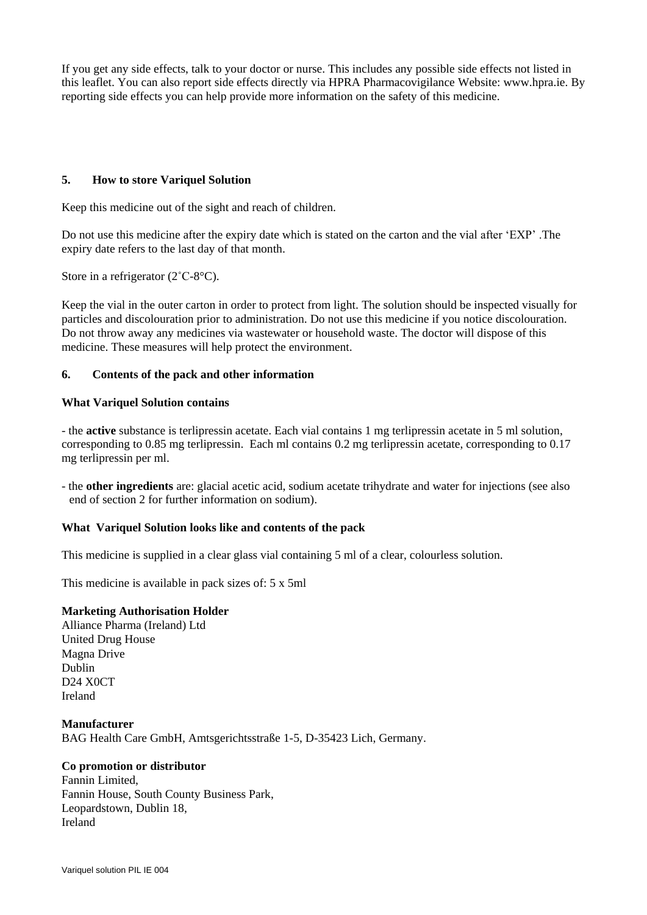If you get any side effects, talk to your doctor or nurse. This includes any possible side effects not listed in this leaflet. You can also report side effects directly via HPRA Pharmacovigilance Website: www.hpra.ie. By reporting side effects you can help provide more information on the safety of this medicine.

# **5. How to store Variquel Solution**

Keep this medicine out of the sight and reach of children.

Do not use this medicine after the expiry date which is stated on the carton and the vial after 'EXP' .The expiry date refers to the last day of that month.

Store in a refrigerator (2˚C-8°C).

Keep the vial in the outer carton in order to protect from light. The solution should be inspected visually for particles and discolouration prior to administration. Do not use this medicine if you notice discolouration. Do not throw away any medicines via wastewater or household waste. The doctor will dispose of this medicine. These measures will help protect the environment.

# **6. Contents of the pack and other information**

# **What Variquel Solution contains**

- the **active** substance is terlipressin acetate. Each vial contains 1 mg terlipressin acetate in 5 ml solution, corresponding to 0.85 mg terlipressin. Each ml contains 0.2 mg terlipressin acetate, corresponding to 0.17 mg terlipressin per ml.

- the **other ingredients** are: glacial acetic acid, sodium acetate trihydrate and water for injections (see also end of section 2 for further information on sodium).

# **What Variquel Solution looks like and contents of the pack**

This medicine is supplied in a clear glass vial containing 5 ml of a clear, colourless solution.

This medicine is available in pack sizes of: 5 x 5ml

## **Marketing Authorisation Holder**

Alliance Pharma (Ireland) Ltd United Drug House Magna Drive Dublin D24 X0CT Ireland

**Manufacturer** BAG Health Care GmbH, Amtsgerichtsstraße 1-5, D-35423 Lich, Germany.

# **Co promotion or distributor**

Fannin Limited, Fannin House, South County Business Park, Leopardstown, Dublin 18, Ireland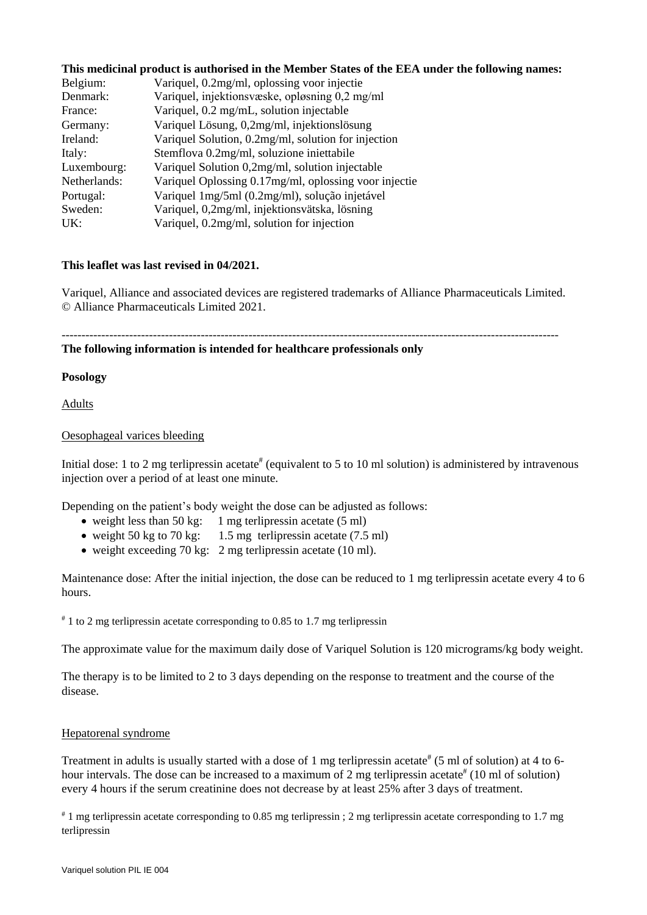## **This medicinal product is authorised in the Member States of the EEA under the following names:**

| Belgium:     | Variquel, 0.2mg/ml, oplossing voor injectie           |
|--------------|-------------------------------------------------------|
| Denmark:     | Variquel, injektionsvæske, opløsning 0,2 mg/ml        |
| France:      | Variquel, 0.2 mg/mL, solution injectable              |
| Germany:     | Variquel Lösung, 0,2mg/ml, injektionslösung           |
| Ireland:     | Variquel Solution, 0.2mg/ml, solution for injection   |
| Italy:       | Stemflova 0.2mg/ml, soluzione iniettabile             |
| Luxembourg:  | Variquel Solution 0,2mg/ml, solution injectable       |
| Netherlands: | Variquel Oplossing 0.17mg/ml, oplossing voor injectie |
| Portugal:    | Variquel 1mg/5ml (0.2mg/ml), solução injetável        |
| Sweden:      | Variquel, 0,2mg/ml, injektionsvätska, lösning         |
| UK:          | Variquel, 0.2mg/ml, solution for injection            |

#### **This leaflet was last revised in 04/2021.**

Variquel, Alliance and associated devices are registered trademarks of Alliance Pharmaceuticals Limited. © Alliance Pharmaceuticals Limited 2021.

-----------------------------------------------------------------------------------------------------------------------------

#### **The following information is intended for healthcare professionals only**

#### **Posology**

Adults

## Oesophageal varices bleeding

Initial dose: 1 to 2 mg terlipressin acetate<sup>#</sup> (equivalent to 5 to 10 ml solution) is administered by intravenous injection over a period of at least one minute.

Depending on the patient's body weight the dose can be adjusted as follows:

- weight less than 50 kg: 1 mg terlipressin acetate  $(5 \text{ ml})$
- weight 50 kg to 70 kg: 1.5 mg terlipressin acetate (7.5 ml)
- weight exceeding 70 kg: 2 mg terlipressin acetate (10 ml).

Maintenance dose: After the initial injection, the dose can be reduced to 1 mg terlipressin acetate every 4 to 6 hours.

 $*$  1 to 2 mg terlipressin acetate corresponding to 0.85 to 1.7 mg terlipressin

The approximate value for the maximum daily dose of Variquel Solution is 120 micrograms/kg body weight.

The therapy is to be limited to 2 to 3 days depending on the response to treatment and the course of the disease.

# Hepatorenal syndrome

Treatment in adults is usually started with a dose of 1 mg terlipressin acetate<sup>#</sup> (5 ml of solution) at 4 to 6hour intervals. The dose can be increased to a maximum of 2 mg terlipressin acetate<sup>#</sup> (10 ml of solution) every 4 hours if the serum creatinine does not decrease by at least 25% after 3 days of treatment.

# 1 mg terlipressin acetate corresponding to 0.85 mg terlipressin ; 2 mg terlipressin acetate corresponding to 1.7 mg terlipressin